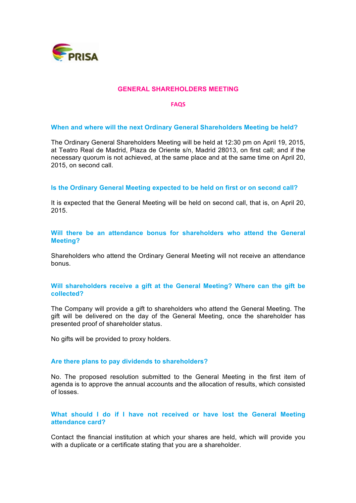

## **GENERAL SHAREHOLDERS MEETING**

#### **FAQS**

## **When and where will the next Ordinary General Shareholders Meeting be held?**

The Ordinary General Shareholders Meeting will be held at 12:30 pm on April 19, 2015, at Teatro Real de Madrid, Plaza de Oriente s/n, Madrid 28013, on first call; and if the necessary quorum is not achieved, at the same place and at the same time on April 20, 2015, on second call.

#### **Is the Ordinary General Meeting expected to be held on first or on second call?**

It is expected that the General Meeting will be held on second call, that is, on April 20, 2015.

# **Will there be an attendance bonus for shareholders who attend the General Meeting?**

Shareholders who attend the Ordinary General Meeting will not receive an attendance bonus.

## **Will shareholders receive a gift at the General Meeting? Where can the gift be collected?**

The Company will provide a gift to shareholders who attend the General Meeting. The gift will be delivered on the day of the General Meeting, once the shareholder has presented proof of shareholder status.

No gifts will be provided to proxy holders.

## **Are there plans to pay dividends to shareholders?**

No. The proposed resolution submitted to the General Meeting in the first item of agenda is to approve the annual accounts and the allocation of results, which consisted of losses.

# **What should I do if I have not received or have lost the General Meeting attendance card?**

Contact the financial institution at which your shares are held, which will provide you with a duplicate or a certificate stating that you are a shareholder.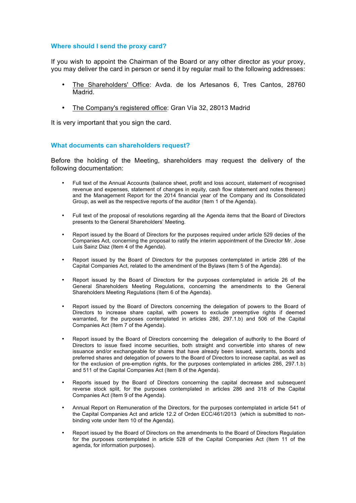## **Where should I send the proxy card?**

If you wish to appoint the Chairman of the Board or any other director as your proxy, you may deliver the card in person or send it by regular mail to the following addresses:

- The Shareholders' Office: Avda. de los Artesanos 6, Tres Cantos, 28760 Madrid.
- The Company's registered office: Gran Vía 32, 28013 Madrid

It is very important that you sign the card.

## **What documents can shareholders request?**

Before the holding of the Meeting, shareholders may request the delivery of the following documentation:

- Full text of the Annual Accounts (balance sheet, profit and loss account, statement of recognised revenue and expenses, statement of changes in equity, cash flow statement and notes thereon) and the Management Report for the 2014 financial year of the Company and its Consolidated Group, as well as the respective reports of the auditor (Item 1 of the Agenda).
- Full text of the proposal of resolutions regarding all the Agenda items that the Board of Directors presents to the General Shareholders' Meeting.
- Report issued by the Board of Directors for the purposes required under article 529 decies of the Companies Act, concerning the proposal to ratify the interim appointment of the Director Mr. Jose Luis Sainz Diaz (Item 4 of the Agenda).
- Report issued by the Board of Directors for the purposes contemplated in article 286 of the Capital Companies Act, related to the amendment of the Bylaws (Item 5 of the Agenda).
- Report issued by the Board of Directors for the purposes contemplated in article 26 of the General Shareholders Meeting Regulations, concerning the amendments to the General Shareholders Meeting Regulations (Item 6 of the Agenda).
- Report issued by the Board of Directors concerning the delegation of powers to the Board of Directors to increase share capital, with powers to exclude preemptive rights if deemed warranted, for the purposes contemplated in articles 286, 297.1.b) and 506 of the Capital Companies Act (Item 7 of the Agenda).
- Report issued by the Board of Directors concerning the delegation of authority to the Board of Directors to issue fixed income securities, both straight and convertible into shares of new issuance and/or exchangeable for shares that have already been issued, warrants, bonds and preferred shares and delegation of powers to the Board of Directors to increase capital, as well as for the exclusion of pre-emption rights, for the purposes contemplated in articles 286, 297.1.b) and 511 of the Capital Companies Act (Item 8 of the Agenda).
- Reports issued by the Board of Directors concerning the capital decrease and subsequent reverse stock split, for the purposes contemplated in articles 286 and 318 of the Capital Companies Act (Item 9 of the Agenda).
- Annual Report on Remuneration of the Directors, for the purposes contemplated in article 541 of the Capital Companies Act and article 12.2 of Orden ECC/461/2013 (which is submitted to nonbinding vote under Item 10 of the Agenda).
- Report issued by the Board of Directors on the amendments to the Board of Directors Regulation for the purposes contemplated in article 528 of the Capital Companies Act (Item 11 of the agenda, for information purposes).